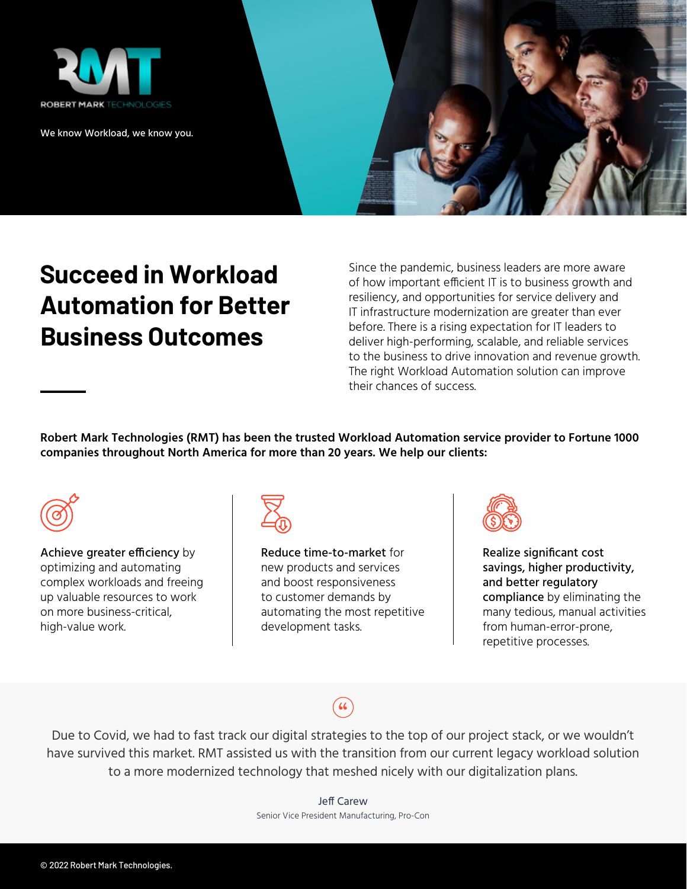

We know Workload, we know you.



# **Succeed in Workload Automation for Better Business Outcomes**

Since the pandemic, business leaders are more aware of how important efficient IT is to business growth and resiliency, and opportunities for service delivery and IT infrastructure modernization are greater than ever before. There is a rising expectation for IT leaders to deliver high-performing, scalable, and reliable services to the business to drive innovation and revenue growth. The right Workload Automation solution can improve their chances of success.

**Robert Mark Technologies (RMT) has been the trusted Workload Automation service provider to Fortune 1000 companies throughout North America for more than 20 years. We help our clients:** 



Achieve greater efficiency by optimizing and automating complex workloads and freeing up valuable resources to work on more business-critical, high-value work.



Reduce time-to-market for new products and services and boost responsiveness to customer demands by automating the most repetitive development tasks.



Realize significant cost savings, higher productivity, and better regulatory compliance by eliminating the many tedious, manual activities from human-error-prone, repetitive processes.

# "

Due to Covid, we had to fast track our digital strategies to the top of our project stack, or we wouldn't have survived this market. RMT assisted us with the transition from our current legacy workload solution to a more modernized technology that meshed nicely with our digitalization plans.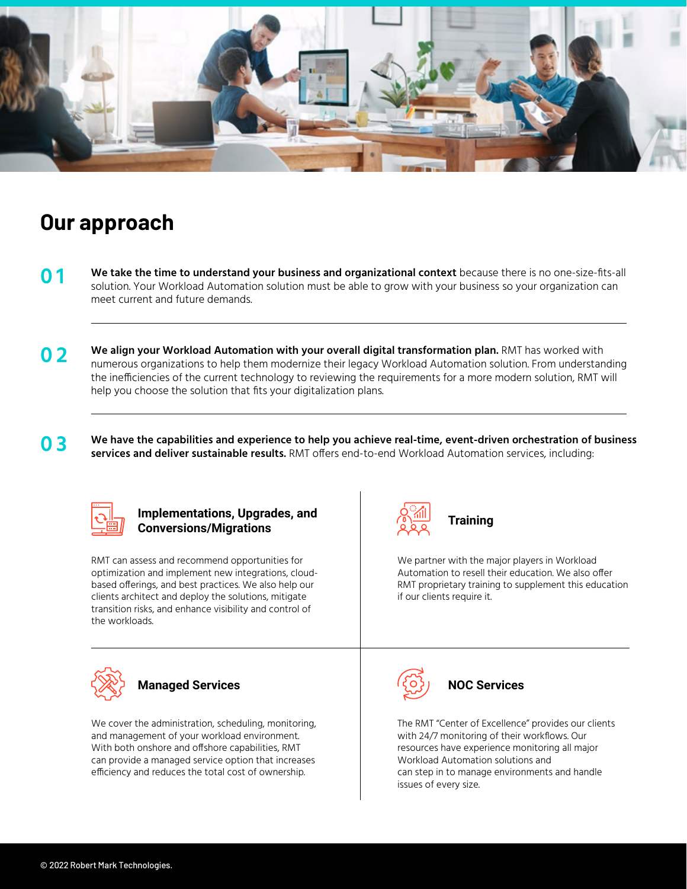

## **Our approach**

- **We take the time to understand your business and organizational context** because there is no one-size-fits-all solution. Your Workload Automation solution must be able to grow with your business so your organization can meet current and future demands. **0 1**
- **O 2** We align your Workload Automation with your overall digital transformation plan. RMT has worked with numerous organizations to help them modernize their legacy Workload Automation solution. From understanding the inefficiencies of the current technology to reviewing the requirements for a more modern solution, RMT will help you choose the solution that fits your digitalization plans.
- **0 3 We have the capabilities and experience to help you achieve real-time, event-driven orchestration of business services and deliver sustainable results.** RMT offers end-to-end Workload Automation services, including:



#### **Implementations, Upgrades, and Conversions/Migrations**

RMT can assess and recommend opportunities for optimization and implement new integrations, cloudbased offerings, and best practices. We also help our clients architect and deploy the solutions, mitigate transition risks, and enhance visibility and control of the workloads.



### **Managed Services**

We cover the administration, scheduling, monitoring, and management of your workload environment. With both onshore and offshore capabilities, RMT can provide a managed service option that increases efficiency and reduces the total cost of ownership.



### **Training**

We partner with the major players in Workload Automation to resell their education. We also offer RMT proprietary training to supplement this education if our clients require it.



#### **NOC Services**

The RMT "Center of Excellence" provides our clients with 24/7 monitoring of their workflows. Our resources have experience monitoring all major Workload Automation solutions and can step in to manage environments and handle issues of every size.